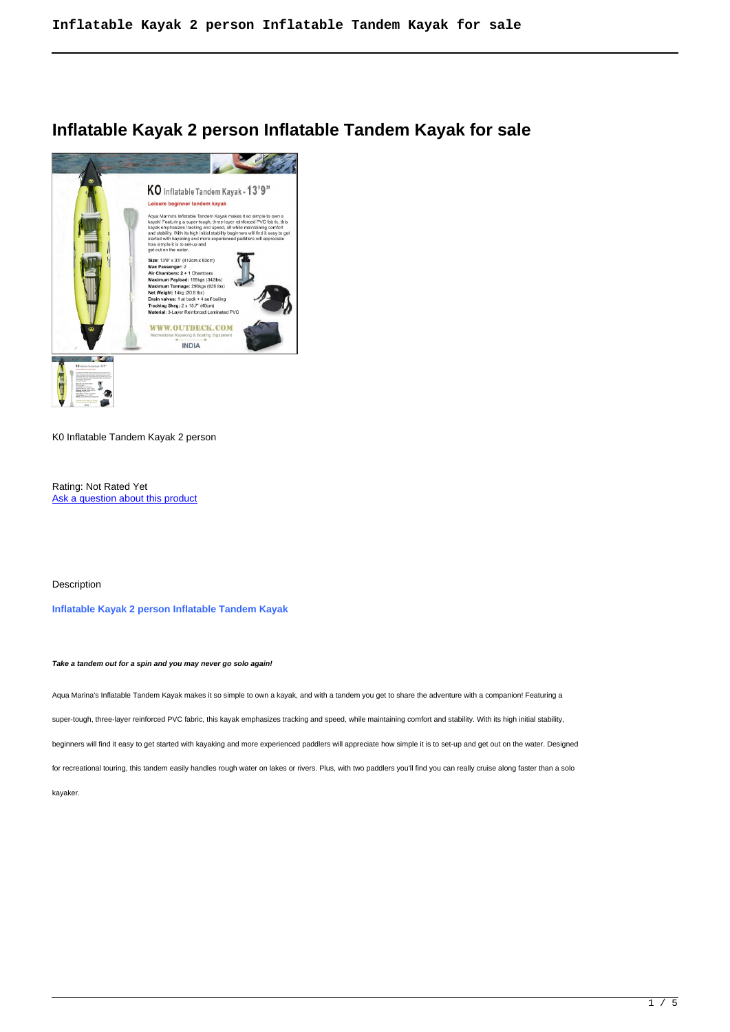# **Inflatable Kayak 2 person Inflatable Tandem Kayak for sale**



K0 Inflatable Tandem Kayak 2 person

Rating: Not Rated Yet Ask a question about this product

Description

**Inflatable Kayak 2 person Inflatable Tandem Kayak**

**Take a tandem out for a spin and you may never go solo again!**

Aqua Marina's Inflatable Tandem Kayak makes it so simple to own a kayak, and with a tandem you get to share the adventure with a companion! Featuring a

super-tough, three-layer reinforced PVC fabric, this kayak emphasizes tracking and speed, while maintaining comfort and stability. With its high initial stability,

beginners will find it easy to get started with kayaking and more experienced paddlers will appreciate how simple it is to set-up and get out on the water. Designed

for recreational touring, this tandem easily handles rough water on lakes or rivers. Plus, with two paddlers you'll find you can really cruise along faster than a solo

kayaker.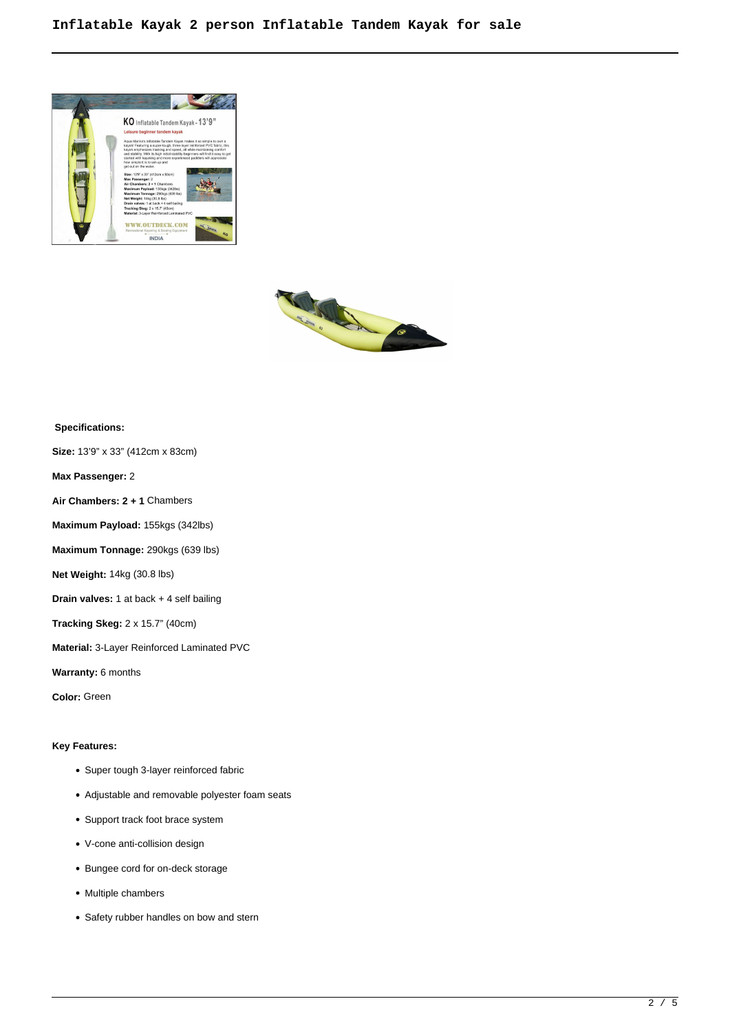



# **Specifications:**

**Size:** 13'9" x 33" (412cm x 83cm)

**Max Passenger:** 2

**Air Chambers: 2 + 1** Chambers

**Maximum Payload:** 155kgs (342lbs)

**Maximum Tonnage:** 290kgs (639 lbs)

**Net Weight:** 14kg (30.8 lbs)

**Drain valves:** 1 at back + 4 self bailing

**Tracking Skeg:** 2 x 15.7" (40cm)

**Material:** 3-Layer Reinforced Laminated PVC

**Warranty:** 6 months

**Color:** Green

# **Key Features:**

- Super tough 3-layer reinforced fabric
- Adjustable and removable polyester foam seats
- Support track foot brace system
- V-cone anti-collision design
- Bungee cord for on-deck storage
- Multiple chambers
- Safety rubber handles on bow and stern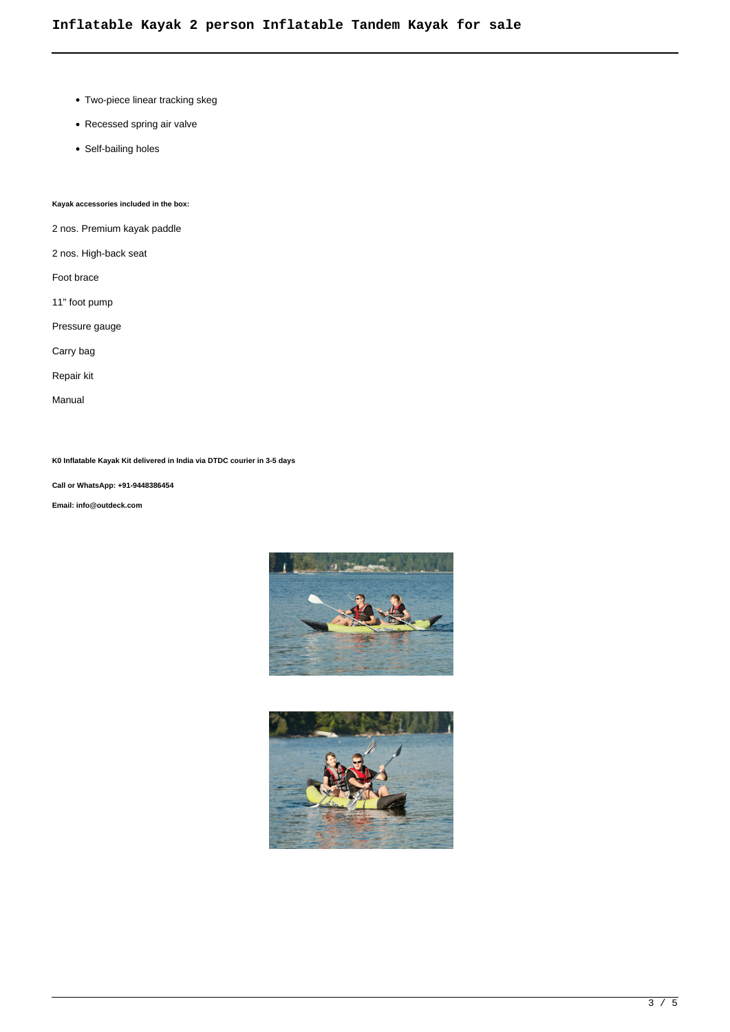- Two-piece linear tracking skeg
- Recessed spring air valve
- Self-bailing holes

# **Kayak accessories included in the box:**

2 nos. Premium kayak paddle

2 nos. High-back seat

- Foot brace
- 11" foot pump
- Pressure gauge

Carry bag

Repair kit

Manual

**K0 Inflatable Kayak Kit delivered in India via DTDC courier in 3-5 days**

**Call or WhatsApp: +91-9448386454**

**Email: info@outdeck.com**



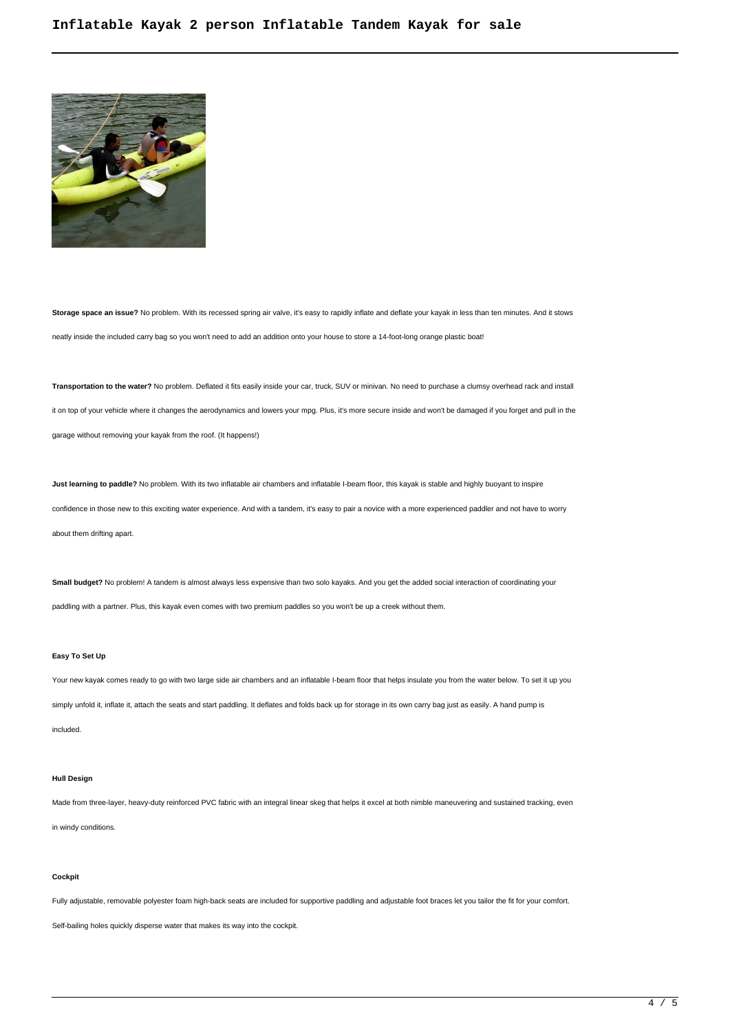

**Storage space an issue?** No problem. With its recessed spring air valve, it's easy to rapidly inflate and deflate your kayak in less than ten minutes. And it stows neatly inside the included carry bag so you won't need to add an addition onto your house to store a 14-foot-long orange plastic boat!

**Transportation to the water?** No problem. Deflated it fits easily inside your car, truck, SUV or minivan. No need to purchase a clumsy overhead rack and install it on top of your vehicle where it changes the aerodynamics and lowers your mpg. Plus, it's more secure inside and won't be damaged if you forget and pull in the garage without removing your kayak from the roof. (It happens!)

**Just learning to paddle?** No problem. With its two inflatable air chambers and inflatable I-beam floor, this kayak is stable and highly buoyant to inspire confidence in those new to this exciting water experience. And with a tandem, it's easy to pair a novice with a more experienced paddler and not have to worry about them drifting apart.

**Small budget?** No problem! A tandem is almost always less expensive than two solo kayaks. And you get the added social interaction of coordinating your paddling with a partner. Plus, this kayak even comes with two premium paddles so you won't be up a creek without them.

#### **Easy To Set Up**

Your new kayak comes ready to go with two large side air chambers and an inflatable I-beam floor that helps insulate you from the water below. To set it up you simply unfold it, inflate it, attach the seats and start paddling. It deflates and folds back up for storage in its own carry bag just as easily. A hand pump is

included.

## **Hull Design**

Made from three-layer, heavy-duty reinforced PVC fabric with an integral linear skeg that helps it excel at both nimble maneuvering and sustained tracking, even

in windy conditions.

## **Cockpit**

Fully adjustable, removable polyester foam high-back seats are included for supportive paddling and adjustable foot braces let you tailor the fit for your comfort.

Self-bailing holes quickly disperse water that makes its way into the cockpit.